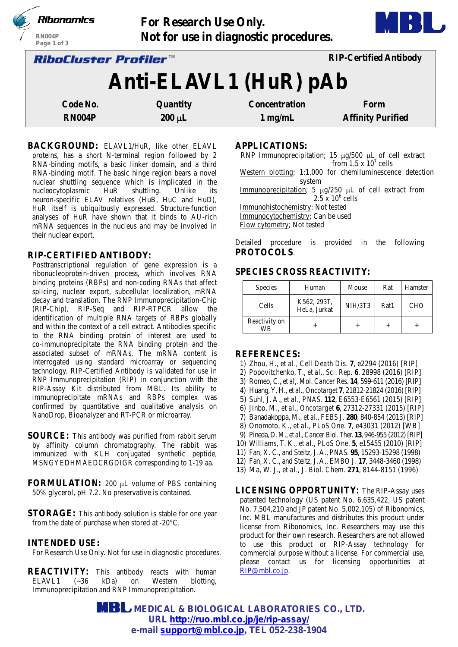|                       | Ribonomics                          | <b>For Research Use Only.</b>         |                      |                               |  |  |  |
|-----------------------|-------------------------------------|---------------------------------------|----------------------|-------------------------------|--|--|--|
|                       | RN004P<br>Page 1 of 3               | Not for use in diagnostic procedures. |                      |                               |  |  |  |
|                       | <i><b>RiboCluster Profiler™</b></i> |                                       |                      | <b>RIP-Certified Antibody</b> |  |  |  |
| Anti-ELAVL1 (HuR) pAb |                                     |                                       |                      |                               |  |  |  |
|                       | Code No.                            | Quantity                              | <b>Concentration</b> | Form                          |  |  |  |
|                       | <b>RN004P</b>                       | $200 \mu L$                           | $1$ mg/mL            | <b>Affinity Purified</b>      |  |  |  |

BACKGROUND: ELAVL1/HuR, like other ELAVL proteins, has a short N-terminal region followed by 2 RNA-binding motifs, a basic linker domain, and a third RNA-binding motif. The basic hinge region bears a novel nuclear shuttling sequence which is implicated in the nucleocytoplasmic HuR shuttling. Unlike its neuron-specific ELAV relatives (HuB, HuC and HuD), HuR itself is ubiquitously expressed. Structure-function analyses of HuR have shown that it binds to AU-rich mRNA sequences in the nucleus and may be involved in their nuclear export.

# **RIP-CERTIFIED ANTIBODY:**

Posttranscriptional regulation of gene expression is a ribonucleoprotein-driven process, which involves RNA binding proteins (RBPs) and non-coding RNAs that affect splicing, nuclear export, subcellular localization, mRNA decay and translation. The RNP Immunoprecipitation-Chip (RIP-Chip), RIP-Seq and RIP-RTPCR allow the identification of multiple RNA targets of RBPs globally and within the context of a cell extract. Antibodies specific to the RNA binding protein of interest are used to co-immunoprecipitate the RNA binding protein and the associated subset of mRNAs. The mRNA content is interrogated using standard microarray or sequencing technology. RIP-Certified Antibody is validated for use in RNP Immunoprecipitation (RIP) in conjunction with the RIP-Assay Kit distributed from MBL. Its ability to immunoprecipitate mRNAs and RBPs complex was confirmed by quantitative and qualitative analysis on NanoDrop, Bioanalyzer and RT-PCR or microarray.

- **SOURCE:** This antibody was purified from rabbit serum by affinity column chromatography. The rabbit was immunized with KLH conjugated synthetic peptide, MSNGYEDHMAEDCRGDIGR corresponding to 1-19 aa.
- **FORMULATION:** 200 µL volume of PBS containing 50% glycerol, pH 7.2. No preservative is contained.
- **STORAGE:** This antibody solution is stable for one year from the date of purchase when stored at -20°C.

# **INTENDED USE:**

For Research Use Only. Not for use in diagnostic procedures.

**REACTIVITY:** This antibody reacts with human ELAVL1 (~36 kDa) on Western blotting, Immunoprecipitation and RNP Immunoprecipitation.

**APPLICATIONS:** 

RNP Immunoprecipitation; 15 µg/500 µL of cell extract from  $1.5 \times 10^7$  cells Western blotting; 1:1,000 for chemiluminescence detection system Immunoprecipitation; 5  $\mu$ g/250  $\mu$ L of cell extract from  $2.5 \times 10^6$  cells Immunohistochemistry; Not tested Immunocytochemistry; Can be used Flow cytometry; Not tested Detailed procedure is provided in the following **PROTOCOLS**.

# **SPECIES CROSS REACTIVITY:**

| <b>Species</b>      | Human                       | Mouse   | Rat  | Hamster    |
|---------------------|-----------------------------|---------|------|------------|
| Cells               | K562, 293T,<br>HeLa, Jurkat | NIH/3T3 | Rat1 | <b>CHO</b> |
| Reactivity on<br>WB |                             |         |      |            |

### **REFERENCES:**

- 1) Zhou, H., *et al., Cell Death Dis*. **7**, e2294 (2016) [RIP]
- 2) Popovitchenko, T., *et al., Sci. Rep*. **6**, 28998 (2016) [RIP]
- 3) Romeo, C., *et al,. Mol. Cancer Res.* **14**, 599-611 (2016) [RIP]
- 4) Huang, Y. H., *et al., Oncotarget* **7**, 21812-21824 (2016) [RIP]
- 5) Suhl, J. A., *et al., PNAS.* **112**, E6553-E6561 (2015) [RIP]
- 6) Jinbo, M., *et al.*, *Oncotarget* **6**, 27312-27331 (2015) [RIP]
- 7) Banadakoppa, M., *et al*., *FEBS J*. **280**, 840-854 (2013) [RIP]
- 8) Onomoto, K., *et al.*, *PLoS One*. **7**, e43031 (2012) [WB]
- 9) Pineda,D. M., *et al.*, *Cancer Biol.Ther.* **13**, 946-955 (2012)[RIP]
- 10) Williams, T. K., *et al.*, *PLoS One*. **5**, e15455 (2010) [RIP]
- 11) Fan, X. C., and Steitz, J. A., *PNAS.* **95**, 15293-15298 (1998)
- 12) Fan, X. C., and Steitz, J. A., *EMBO J.* **17**, 3448-3460 (1998)
- 13) Ma, W. J., *et al., J. Biol. Chem*. **271**, 8144-8151 (1996)

**LICENSING OPPORTUNITY:** The RIP-Assay uses patented technology (US patent No. 6,635,422, US patent No. 7,504,210 and JP patent No. 5,002,105) of Ribonomics, Inc. MBL manufactures and distributes this product under license from Ribonomics, Inc. Researchers may use this product for their own research. Researchers are not allowed to use this product or RIP-Assay technology for commercial purpose without a license. For commercial use, please contact us for licensing opportunities at RIP@mbl.co.jp.

 **MEDICAL & BIOLOGICAL LABORATORIES CO., LTD. URL [http://ruo.mbl.co.jp/je/rip-assay/](https://ruo.mbl.co.jp/je/rip-assay/) e-mail [support@mbl.co.jp,](mailto:support@mbl.co.jp) TEL 052-238-1904**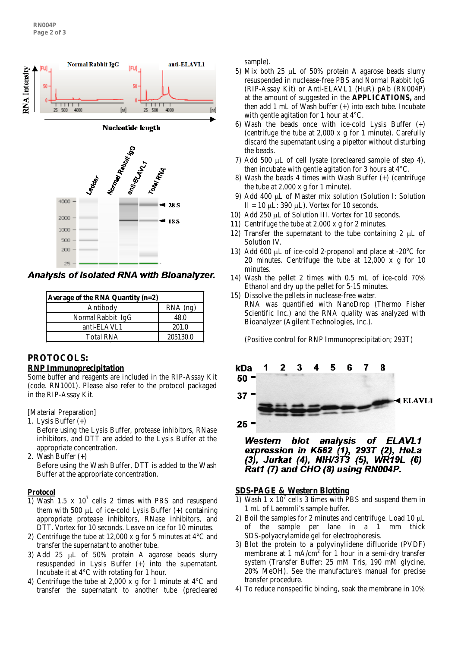

Analysis of isolated RNA with Bioanalyzer.

| Average of the RNA Quantity $(n=2)$ |            |  |
|-------------------------------------|------------|--|
| Antibody                            | $RNA$ (ng) |  |
| Normal Rabbit IgG                   | 48.0       |  |
| anti-ELAVL1                         | 201.0      |  |
| <b>Total RNA</b>                    | 205130.0   |  |

# **PROTOCOLS: RNP Immunoprecipitation**

Some buffer and reagents are included in the RIP-Assay Kit (code. RN1001). Please also refer to the protocol packaged in the RIP-Assay Kit.

[Material Preparation]

- 1. Lysis Buffer (+) Before using the Lysis Buffer, protease inhibitors, RNase inhibitors, and DTT are added to the Lysis Buffer at the appropriate concentration.
- 2. Wash Buffer (+)

Before using the Wash Buffer, DTT is added to the Wash Buffer at the appropriate concentration.

# **Protocol**

- 1) Wash 1.5 x  $10^7$  cells 2 times with PBS and resuspend them with 500  $\mu$ L of ice-cold Lysis Buffer  $(+)$  containing appropriate protease inhibitors, RNase inhibitors, and DTT. Vortex for 10 seconds. Leave on ice for 10 minutes.
- 2) Centrifuge the tube at 12,000 x g for 5 minutes at 4°C and transfer the supernatant to another tube.
- 3) Add 25 µL of 50% protein A agarose beads slurry resuspended in Lysis Buffer (+) into the supernatant. Incubate it at 4°C with rotating for 1 hour.
- 4) Centrifuge the tube at 2,000 x g for 1 minute at 4°C and transfer the supernatant to another tube (precleared

sample).

- 5) Mix both 25 µL of 50% protein A agarose beads slurry resuspended in nuclease-free PBS and Normal Rabbit IgG (RIP-Assay Kit) or Anti-ELAVL1 (HuR) pAb (RN004P) at the amount of suggested in the **APPLICATIONS,** and then add 1 mL of Wash buffer (+) into each tube. Incubate with gentle agitation for 1 hour at 4°C.
- 6) Wash the beads once with ice-cold Lysis Buffer (+) (centrifuge the tube at 2,000 x g for 1 minute). Carefully discard the supernatant using a pipettor without disturbing the beads.
- 7) Add 500 µL of cell lysate (precleared sample of step 4), then incubate with gentle agitation for 3 hours at 4°C.
- 8) Wash the beads 4 times with Wash Buffer (+) (centrifuge the tube at 2,000 x g for 1 minute).
- 9) Add 400 µL of Master mix solution (Solution I: Solution II = 10  $\mu$ L: 390  $\mu$ L). Vortex for 10 seconds.
- 10) Add 250 µL of Solution III. Vortex for 10 seconds.
- 11) Centrifuge the tube at 2,000 x g for 2 minutes.
- 12) Transfer the supernatant to the tube containing 2  $\mu$ L of Solution IV.
- 13) Add 600  $\mu$ L of ice-cold 2-propanol and place at -20 $\rm{°C}$  for 20 minutes. Centrifuge the tube at 12,000 x g for 10 minutes.
- 14) Wash the pellet 2 times with 0.5 mL of ice-cold 70% Ethanol and dry up the pellet for 5-15 minutes.
- 15) Dissolve the pellets in nuclease-free water. RNA was quantified with NanoDrop (Thermo Fisher Scientific Inc.) and the RNA quality was analyzed with Bioanalyzer (Agilent Technologies, Inc.).

(Positive control for RNP Immunoprecipitation; 293T)



#### **Western** blot analysis of ELAVL1 expression in K562 (1), 293T (2), HeLa (3), Jurkat (4), NIH/3T3 (5), WR19L (6) Rat1 (7) and CHO (8) using RN004P.

# **SDS-PAGE & Western Blotting**

- 1) Wash 1 x  $10<sup>7</sup>$  cells 3 times with PBS and suspend them in 1 mL of Laemmli's sample buffer.
- 2) Boil the samples for 2 minutes and centrifuge. Load 10  $\mu$ L of the sample per lane in a 1 mm thick SDS-polyacrylamide gel for electrophoresis.
- 3) Blot the protein to a polyvinylidene difluoride (PVDF) membrane at  $1 \text{ mA/cm}^2$  for  $1 \text{ hour}$  in a semi-dry transfer system (Transfer Buffer: 25 mM Tris, 190 mM glycine, 20% MeOH). See the manufacture's manual for precise transfer procedure.
- 4) To reduce nonspecific binding, soak the membrane in 10%